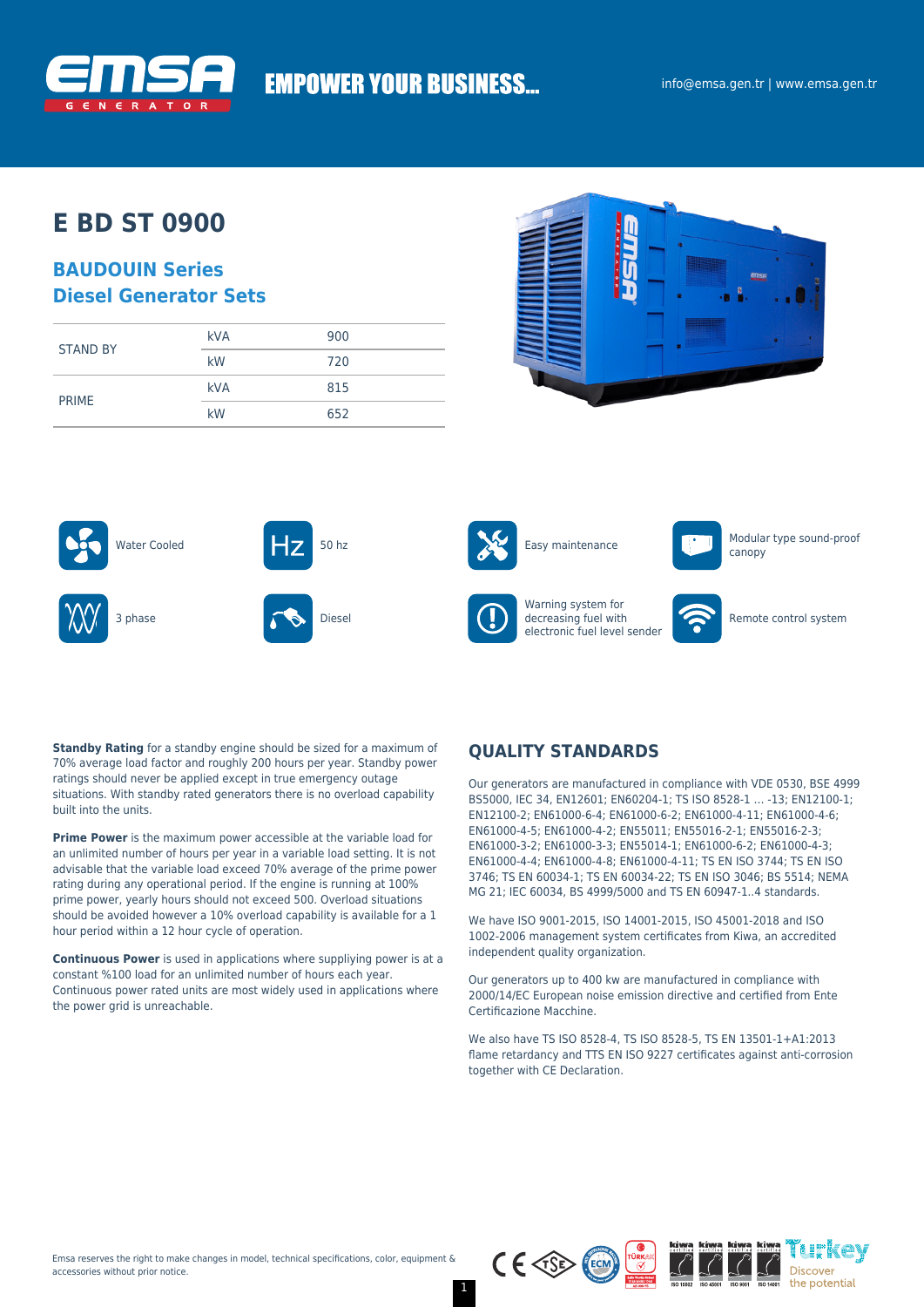

# **EMPOWER YOUR BUSINESS...**

# **E BD ST 0900**

### **BAUDOUIN Series Diesel Generator Sets**

|                 | <b>kVA</b> | 900 |  |
|-----------------|------------|-----|--|
| <b>STAND BY</b> | kW         | 720 |  |
| <b>PRIME</b>    | <b>kVA</b> | 815 |  |
|                 | kW         | 652 |  |









canopy







Warning system for decreasing fuel with electronic fuel level sender



Remote control system

**Standby Rating** for a standby engine should be sized for a maximum of 70% average load factor and roughly 200 hours per year. Standby power ratings should never be applied except in true emergency outage situations. With standby rated generators there is no overload capability built into the units.

**Prime Power** is the maximum power accessible at the variable load for an unlimited number of hours per year in a variable load setting. It is not advisable that the variable load exceed 70% average of the prime power rating during any operational period. If the engine is running at 100% prime power, yearly hours should not exceed 500. Overload situations should be avoided however a 10% overload capability is available for a 1 hour period within a 12 hour cycle of operation.

**Continuous Power** is used in applications where suppliying power is at a constant %100 load for an unlimited number of hours each year. Continuous power rated units are most widely used in applications where the power grid is unreachable.

### **QUALITY STANDARDS**

Our generators are manufactured in compliance with VDE 0530, BSE 4999 BS5000, IEC 34, EN12601; EN60204-1; TS ISO 8528-1 … -13; EN12100-1; EN12100-2; EN61000-6-4; EN61000-6-2; EN61000-4-11; EN61000-4-6; EN61000-4-5; EN61000-4-2; EN55011; EN55016-2-1; EN55016-2-3; EN61000-3-2; EN61000-3-3; EN55014-1; EN61000-6-2; EN61000-4-3; EN61000-4-4; EN61000-4-8; EN61000-4-11; TS EN ISO 3744; TS EN ISO 3746; TS EN 60034-1; TS EN 60034-22; TS EN ISO 3046; BS 5514; NEMA MG 21; IEC 60034, BS 4999/5000 and TS EN 60947-1..4 standards.

We have ISO 9001-2015, ISO 14001-2015, ISO 45001-2018 and ISO 1002-2006 management system certificates from Kiwa, an accredited independent quality organization.

Our generators up to 400 kw are manufactured in compliance with 2000/14/EC European noise emission directive and certified from Ente Certificazione Macchine.

We also have TS ISO 8528-4, TS ISO 8528-5, TS EN 13501-1+A1:2013 flame retardancy and TTS EN ISO 9227 certificates against anti-corrosion together with CE Declaration.



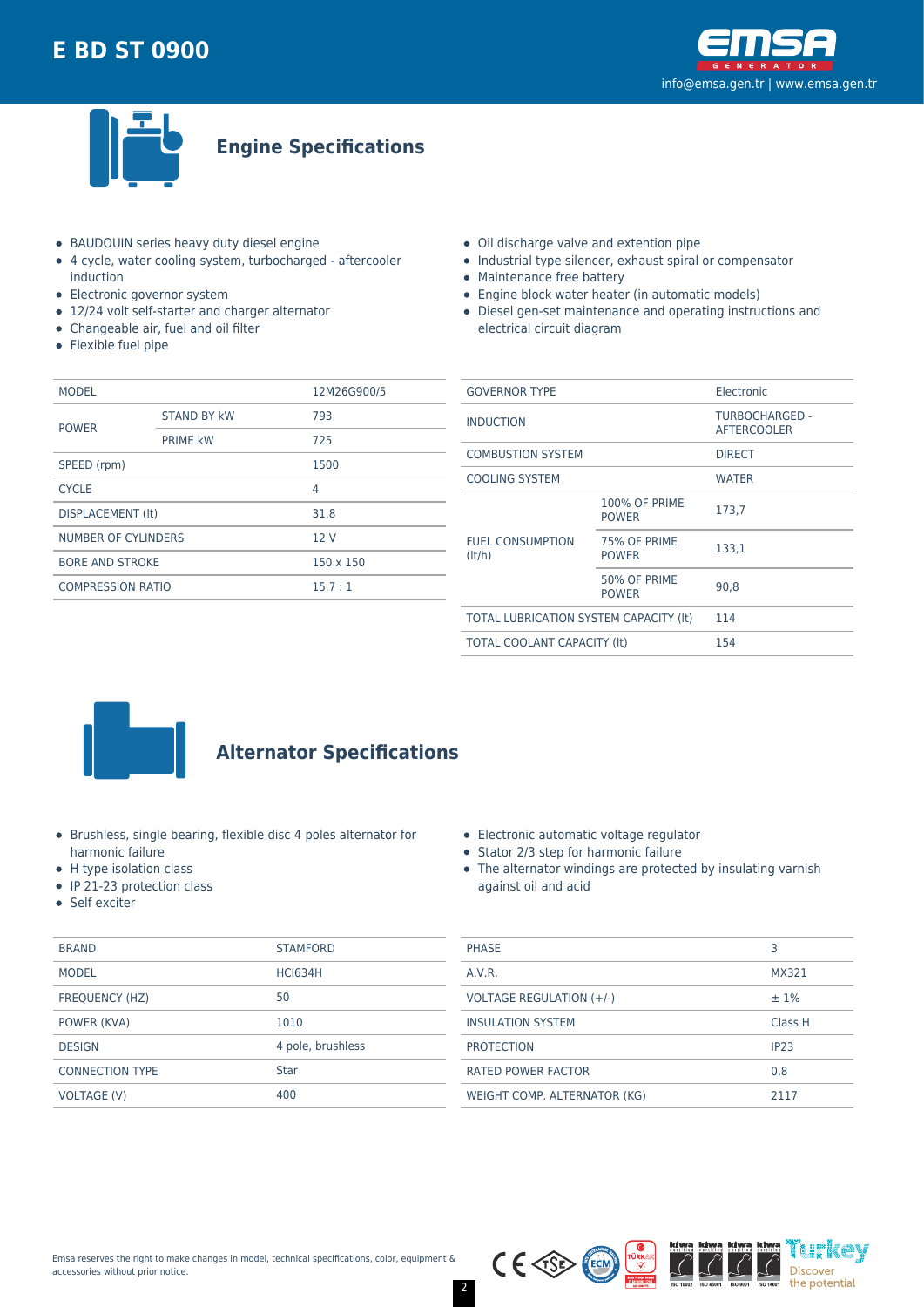



**Engine Specifications**

- BAUDOUIN series heavy duty diesel engine
- 4 cycle, water cooling system, turbocharged aftercooler induction
- Electronic governor system
- 12/24 volt self-starter and charger alternator
- Changeable air, fuel and oil filter
- Flexible fuel pipe
- Oil discharge valve and extention pipe
- Industrial type silencer, exhaust spiral or compensator
- Maintenance free battery
- Engine block water heater (in automatic models)
- Diesel gen-set maintenance and operating instructions and electrical circuit diagram

| <b>MODEL</b>             |                    | 12M26G900/5      |  |
|--------------------------|--------------------|------------------|--|
| <b>POWER</b>             | <b>STAND BY kW</b> | 793              |  |
|                          | <b>PRIME kW</b>    | 725              |  |
| SPEED (rpm)              |                    |                  |  |
| <b>CYCLE</b>             |                    | 4                |  |
| DISPLACEMENT (It)        |                    | 31.8             |  |
| NUMBER OF CYLINDERS      |                    | 12V              |  |
| <b>BORE AND STROKE</b>   |                    | $150 \times 150$ |  |
| <b>COMPRESSION RATIO</b> |                    | 15.7:1           |  |
|                          |                    |                  |  |

| <b>GOVERNOR TYPE</b>                   |                                      | Electronic                           |  |
|----------------------------------------|--------------------------------------|--------------------------------------|--|
| <b>INDUCTION</b>                       |                                      | TURBOCHARGED -<br><b>AFTERCOOLER</b> |  |
| <b>COMBUSTION SYSTEM</b>               |                                      | <b>DIRECT</b>                        |  |
| <b>COOLING SYSTEM</b>                  |                                      | <b>WATER</b>                         |  |
| <b>FUEL CONSUMPTION</b><br>(lt/h)      | <b>100% OF PRIME</b><br><b>POWER</b> | 173,7                                |  |
|                                        | 75% OF PRIME<br><b>POWER</b>         | 133,1                                |  |
|                                        | 50% OF PRIME<br><b>POWER</b>         | 90.8                                 |  |
| TOTAL LUBRICATION SYSTEM CAPACITY (It) |                                      | 114                                  |  |
| <b>TOTAL COOLANT CAPACITY (It)</b>     |                                      | 154                                  |  |
|                                        |                                      |                                      |  |



# **Alternator Specifications**

- Brushless, single bearing, flexible disc 4 poles alternator for harmonic failure
- H type isolation class
- IP 21-23 protection class
- Self exciter

|  | • Electronic automatic voltage regulator |  |
|--|------------------------------------------|--|
|  |                                          |  |

- Stator 2/3 step for harmonic failure
- The alternator windings are protected by insulating varnish against oil and acid

| <b>BRAND</b>           | <b>STAMFORD</b>   | <b>PHASE</b>                    |       |
|------------------------|-------------------|---------------------------------|-------|
| <b>MODEL</b>           | <b>HCI634H</b>    | A.V.R.                          | MX32  |
| FREQUENCY (HZ)         | 50                | <b>VOLTAGE REGULATION (+/-)</b> | ±1%   |
| POWER (KVA)            | 1010              | <b>INSULATION SYSTEM</b>        | Class |
| <b>DESIGN</b>          | 4 pole, brushless | <b>PROTECTION</b>               | IP23  |
| <b>CONNECTION TYPE</b> | <b>Star</b>       | <b>RATED POWER FACTOR</b>       | 0,8   |
| VOLTAGE (V)            | 400               | WEIGHT COMP. ALTERNATOR (KG)    | 2117  |
|                        |                   |                                 |       |



MX321

Class H

i istkav

Discover the potential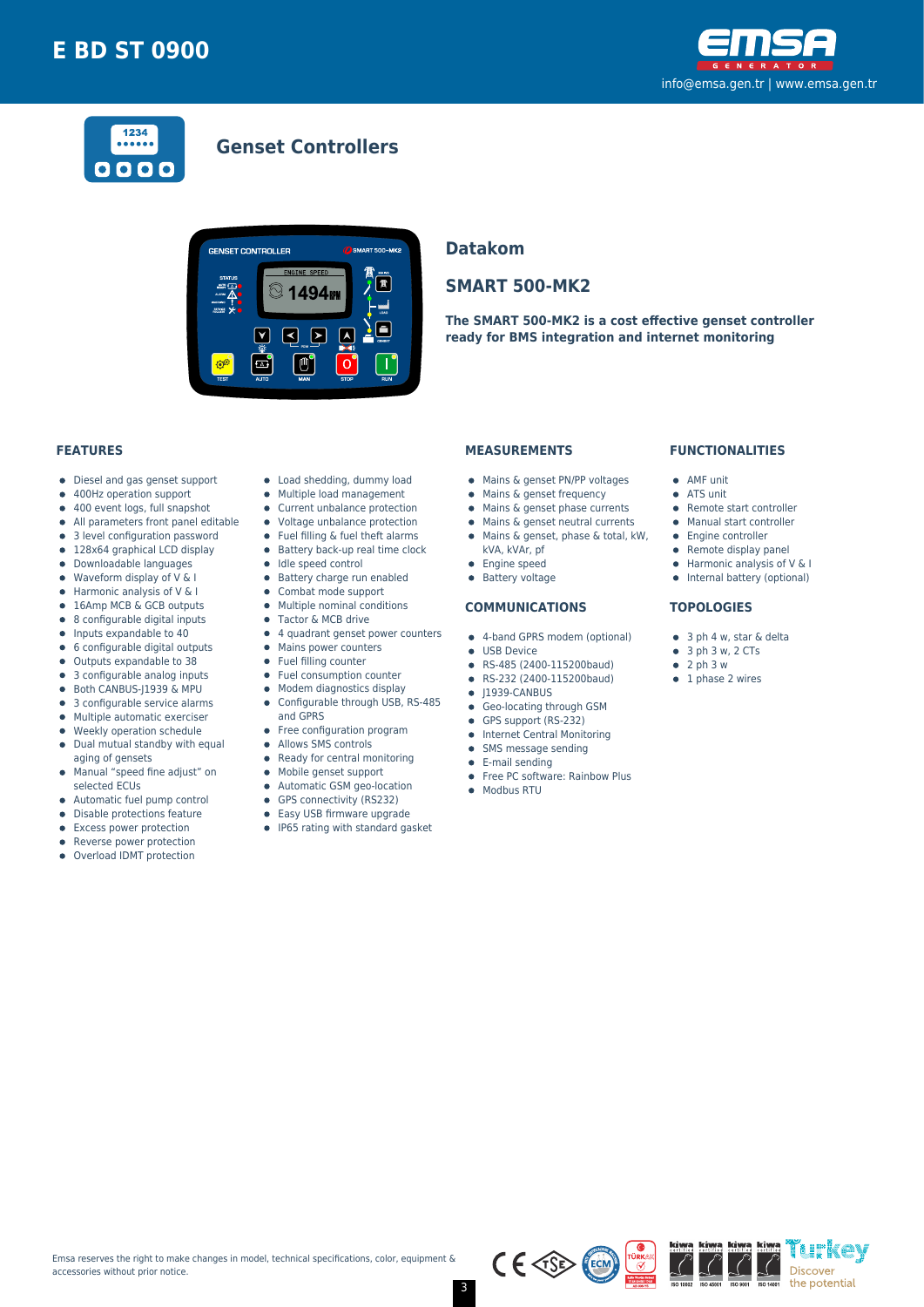



### **Genset Controllers**



### **Datakom**

### **SMART 500-MK2**

**The SMART 500-MK2 is a cost effective genset controller ready for BMS integration and internet monitoring**

#### **FEATURES**

- Diesel and gas genset support  $\bullet$
- 400Hz operation support  $\bullet$
- $\bullet$ 400 event logs, full snapshot
- All parameters front panel editable  $\bullet$
- 3 level configuration password
- 128x64 graphical LCD display  $\bullet$
- Downloadable languages
- $\bullet$ Waveform display of V & I
- Harmonic analysis of V & I  $\bullet$
- 16Amp MCB & GCB outputs 8 configurable digital inputs  $\bullet$
- $\bullet$
- Inputs expandable to 40  $\bullet$ 6 configurable digital outputs
- Outputs expandable to 38  $\bullet$
- 3 configurable analog inputs
- Both CANBUS-J1939 & MPU  $\bullet$
- 3 configurable service alarms
- $\bullet$  $\bullet$ Multiple automatic exerciser
- Weekly operation schedule  $\blacksquare$
- $\bullet$ Dual mutual standby with equal aging of gensets
- Manual "speed fine adjust" on  $\bullet$
- selected ECUs
- Automatic fuel pump control  $\bullet$
- $\bullet$ Disable protections feature
- Excess power protection
- Reverse power protection
- Overload IDMT protection
- Load shedding, dummy load
- Multiple load management  $\bullet$
- Current unbalance protection
- Voltage unbalance protection
- $\bullet$ Fuel filling & fuel theft alarms
- $\bullet$  Battery back-up real time clock
- Idle speed control
- **•** Battery charge run enabled
- $\bullet$ Combat mode support
- $\bullet$ Multiple nominal conditions
- Tactor & MCB drive
- 4 quadrant genset power counters • Mains power counters
- Fuel filling counter
- $\bullet$ Fuel consumption counter
- Modem diagnostics display  $\bullet$
- Configurable through USB, RS-485  $\bullet$
- and GPRS
- Free configuration program
- $\bullet$ Allows SMS controls
- $\bullet$ Ready for central monitoring
- Mobile genset support  $\bullet$
- Automatic GSM geo-location  $\bullet$
- $\bullet$
- GPS connectivity (RS232)  $\bullet$
- Easy USB firmware upgrade
- IP65 rating with standard gasket

#### **MEASUREMENTS**

- Mains & genset PN/PP voltages
- $\bullet$  Mains & genset frequency
- $\bullet$  Mains & genset phase currents
- $\bullet$  Mains & genset neutral currents
- Mains & genset, phase & total, kW,
- kVA, kVAr, pf
- 
- **•** Engine speed
- **•** Battery voltage

#### **COMMUNICATIONS**

- 4-band GPRS modem (optional)
- **CONTRACTE OF LISR Device**
- RS-485 (2400-115200baud)
- RS-232 (2400-115200baud)  $\bullet$
- $\bullet$  J1939-CANBUS
- **Geo-locating through GSM**
- GPS support (RS-232)
- **•** Internet Central Monitoring
- SMS message sending  $\bullet$
- E-mail sending
- Free PC software: Rainbow Plus
- Modbus RTU

#### **FUNCTIONALITIES**

- AMF unit
- ATS unit
- Remote start controller
- Manual start controller
- Engine controller
- $\bullet$  Remote display panel
- $\bullet$  Harmonic analysis of V & I
- Internal battery (optional)

'i h'kev

Discover the potential

#### **TOPOLOGIES**

- 3 ph 4 w, star & delta
- $\bullet$  3 ph 3 w, 2 CTs
- $\bullet$  2 ph 3 w
- $\bullet$  1 phase 2 wires

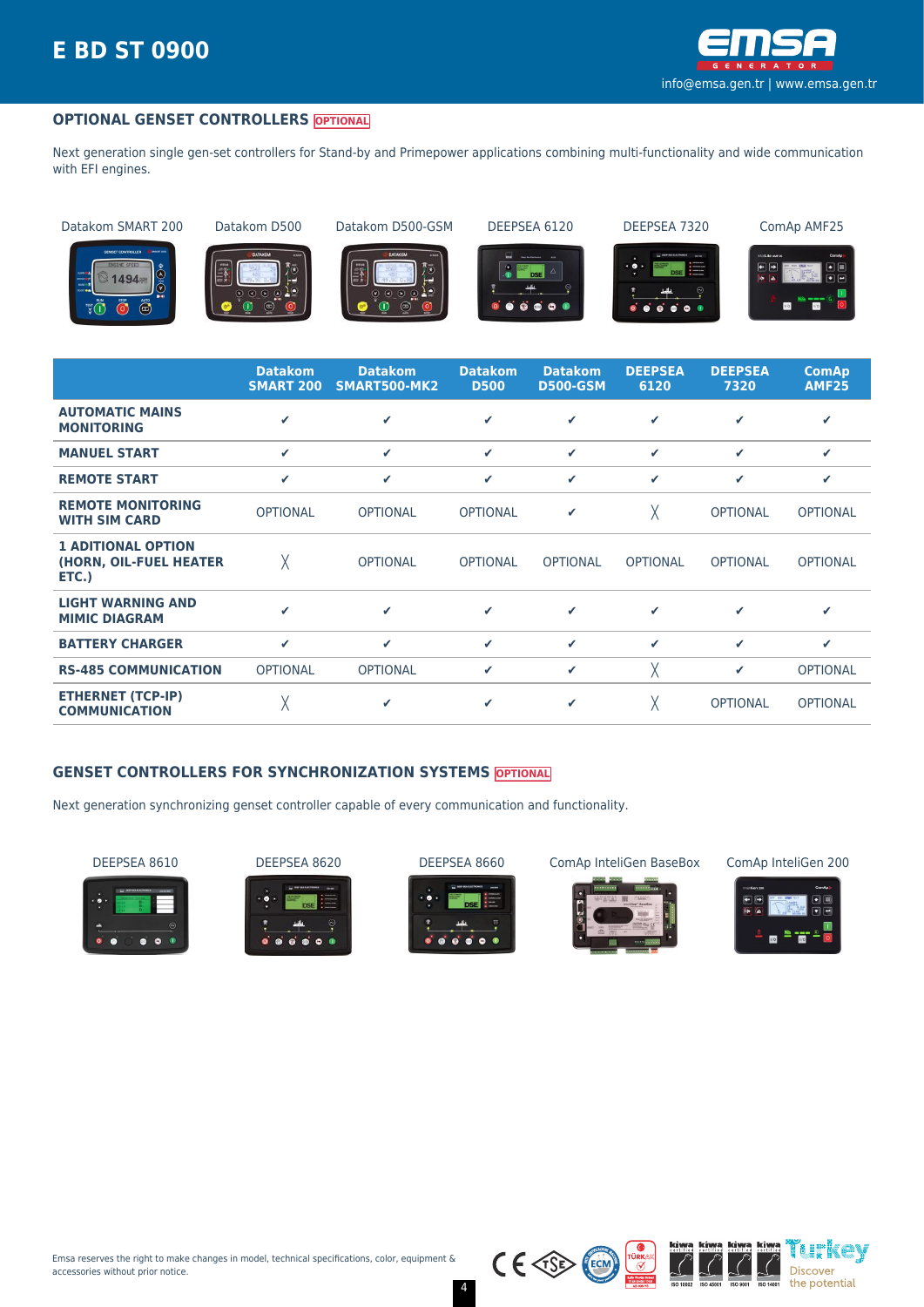

#### **OPTIONAL GENSET CONTROLLERS OPTIONAL**

Next generation single gen-set controllers for Stand-by and Primepower applications combining multi-functionality and wide communication with EFI engines.

Datakom SMART 200 Datakom D500 Datakom D500-GSM DEEPSEA 6120 DEEPSEA 7320 ComAp AMF25







Ö

 $\bullet$  $\bullet$ 





|                                                              | <b>Datakom</b><br><b>SMART 200</b> | <b>Datakom</b><br>SMART500-MK2 | <b>Datakom</b><br><b>D500</b> | <b>Datakom</b><br><b>D500-GSM</b> | <b>DEEPSEA</b><br>6120 | <b>DEEPSEA</b><br>7320 | <b>ComAp</b><br><b>AMF25</b> |
|--------------------------------------------------------------|------------------------------------|--------------------------------|-------------------------------|-----------------------------------|------------------------|------------------------|------------------------------|
| <b>AUTOMATIC MAINS</b><br><b>MONITORING</b>                  | J                                  | ✔                              | ✓                             | ✔                                 | ✓                      | ✔                      | ✔                            |
| <b>MANUEL START</b>                                          | $\checkmark$                       | ✓                              | ✓                             | ✓                                 | ✓                      | $\checkmark$           | ✔                            |
| <b>REMOTE START</b>                                          | ✓                                  | ✔                              | ✓                             | ✓                                 | ✓                      | ✓                      | ✓                            |
| <b>REMOTE MONITORING</b><br><b>WITH SIM CARD</b>             | <b>OPTIONAL</b>                    | <b>OPTIONAL</b>                | <b>OPTIONAL</b>               | ✓                                 | χ                      | <b>OPTIONAL</b>        | <b>OPTIONAL</b>              |
| <b>1 ADITIONAL OPTION</b><br>(HORN, OIL-FUEL HEATER<br>ETC.) | Χ                                  | <b>OPTIONAL</b>                | <b>OPTIONAL</b>               | <b>OPTIONAL</b>                   | <b>OPTIONAL</b>        | <b>OPTIONAL</b>        | <b>OPTIONAL</b>              |
| <b>LIGHT WARNING AND</b><br><b>MIMIC DIAGRAM</b>             | ✔                                  | $\checkmark$                   | ✓                             | ✔                                 | ✓                      | ✔                      | ✔                            |
| <b>BATTERY CHARGER</b>                                       | ✓                                  | ✓                              | ✓                             | ✓                                 | ✓                      | ✓                      | ✔                            |
| <b>RS-485 COMMUNICATION</b>                                  | <b>OPTIONAL</b>                    | <b>OPTIONAL</b>                | ✓                             | ✓                                 | χ                      | ✓                      | <b>OPTIONAL</b>              |
| <b>ETHERNET (TCP-IP)</b><br><b>COMMUNICATION</b>             | χ                                  | ✔                              | ✓                             | ✓                                 |                        | <b>OPTIONAL</b>        | <b>OPTIONAL</b>              |

#### **GENSET CONTROLLERS FOR SYNCHRONIZATION SYSTEMS OPTIONAL**

Next generation synchronizing genset controller capable of every communication and functionality.









DEEPSEA 8610 DEEPSEA 8620 DEEPSEA 8660 ComAp InteliGen BaseBox ComAp InteliGen 200



kiwa kiwa ih'kev  $\overline{(\overline{\mathcal{C}})}$ Discover the potential



 $C \in \text{CSP}$